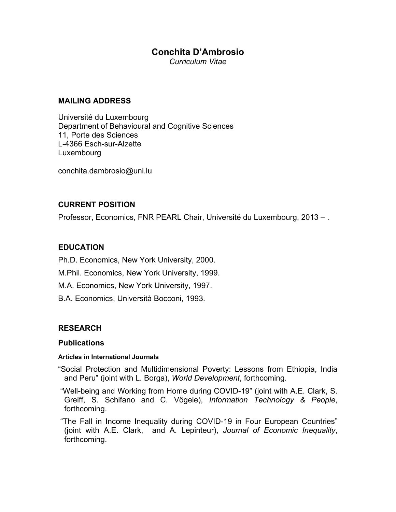# **Conchita D'Ambrosio**

*Curriculum Vitae* 

#### **MAILING ADDRESS**

Université du Luxembourg Department of Behavioural and Cognitive Sciences 11, Porte des Sciences L-4366 Esch-sur-Alzette Luxembourg

conchita.dambrosio@uni.lu

## **CURRENT POSITION**

Professor, Economics, FNR PEARL Chair, Université du Luxembourg, 2013 – .

## **EDUCATION**

Ph.D. Economics, New York University, 2000.

M.Phil. Economics, New York University, 1999.

M.A. Economics, New York University, 1997.

B.A. Economics, Università Bocconi, 1993.

# **RESEARCH**

#### **Publications**

#### **Articles in International Journals**

"Social Protection and Multidimensional Poverty: Lessons from Ethiopia, India and Peru" (joint with L. Borga), *World Development*, forthcoming.

 "Well-being and Working from Home during COVID-19" (joint with A.E. Clark, S. Greiff, S. Schifano and C. Vögele), *Information Technology & People*, forthcoming.

 "The Fall in Income Inequality during COVID-19 in Four European Countries" (joint with A.E. Clark, and A. Lepinteur), *Journal of Economic Inequality*, forthcoming.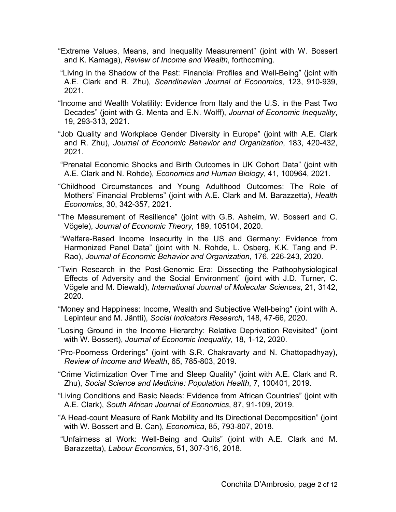- "Extreme Values, Means, and Inequality Measurement" (joint with W. Bossert and K. Kamaga), *Review of Income and Wealth*, forthcoming.
- "Living in the Shadow of the Past: Financial Profiles and Well-Being" (joint with A.E. Clark and R. Zhu), *Scandinavian Journal of Economics*, 123, 910-939, 2021.
- "Income and Wealth Volatility: Evidence from Italy and the U.S. in the Past Two Decades" (joint with G. Menta and E.N. Wolff), *Journal of Economic Inequality*, 19, 293-313, 2021.
- "Job Quality and Workplace Gender Diversity in Europe" (joint with A.E. Clark and R. Zhu), *Journal of Economic Behavior and Organization*, 183, 420-432, 2021.
- "Prenatal Economic Shocks and Birth Outcomes in UK Cohort Data" (joint with A.E. Clark and N. Rohde), *Economics and Human Biology*, 41, 100964, 2021.
- "Childhood Circumstances and Young Adulthood Outcomes: The Role of Mothers' Financial Problems" (joint with A.E. Clark and M. Barazzetta), *Health Economics*, 30, 342-357, 2021.
- "The Measurement of Resilience" (joint with G.B. Asheim, W. Bossert and C. Vögele), *Journal of Economic Theory*, 189, 105104, 2020.
- "Welfare-Based Income Insecurity in the US and Germany: Evidence from Harmonized Panel Data" (joint with N. Rohde, L. Osberg, K.K. Tang and P. Rao), *Journal of Economic Behavior and Organization*, 176, 226-243, 2020.
- "Twin Research in the Post-Genomic Era: Dissecting the Pathophysiological Effects of Adversity and the Social Environment" (joint with J.D. Turner, C. Vögele and M. Diewald), *International Journal of Molecular Sciences*, 21, 3142, 2020.
- "Money and Happiness: Income, Wealth and Subjective Well-being" (joint with A. Lepinteur and M. Jäntti), *Social Indicators Research*, 148, 47-66, 2020.
- "Losing Ground in the Income Hierarchy: Relative Deprivation Revisited" (joint with W. Bossert), *Journal of Economic Inequality*, 18, 1-12, 2020.
- "Pro-Poorness Orderings" (joint with S.R. Chakravarty and N. Chattopadhyay), *Review of Income and Wealth*, 65, 785-803, 2019.
- "Crime Victimization Over Time and Sleep Quality" (joint with A.E. Clark and R. Zhu), *Social Science and Medicine: Population Health*, 7, 100401, 2019.
- "Living Conditions and Basic Needs: Evidence from African Countries" (joint with A.E. Clark), *South African Journal of Economics*, 87, 91-109, 2019.
- "A Head-count Measure of Rank Mobility and Its Directional Decomposition" (joint with W. Bossert and B. Can), *Economica*, 85, 793-807, 2018.
- "Unfairness at Work: Well-Being and Quits" (joint with A.E. Clark and M. Barazzetta), *Labour Economics*, 51, 307-316, 2018.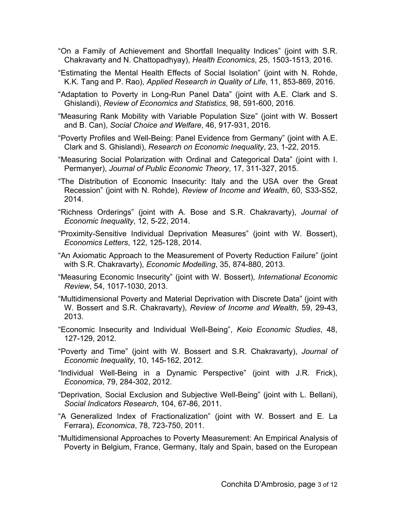- "On a Family of Achievement and Shortfall Inequality Indices" (joint with S.R. Chakravarty and N. Chattopadhyay), *Health Economics*, 25, 1503-1513, 2016.
- "Estimating the Mental Health Effects of Social Isolation" (joint with N. Rohde, K.K. Tang and P. Rao), *Applied Research in Quality of Life*, 11, 853-869, 2016.
- "Adaptation to Poverty in Long-Run Panel Data" (joint with A.E. Clark and S. Ghislandi), *Review of Economics and Statistics*, 98, 591-600, 2016.
- "Measuring Rank Mobility with Variable Population Size" (joint with W. Bossert and B. Can), *Social Choice and Welfare*, 46, 917-931, 2016.
- "Poverty Profiles and Well-Being: Panel Evidence from Germany" (joint with A.E. Clark and S. Ghislandi), *Research on Economic Inequality*, 23, 1-22, 2015.
- "Measuring Social Polarization with Ordinal and Categorical Data" (joint with I. Permanyer), *Journal of Public Economic Theory*, 17, 311-327, 2015.
- "The Distribution of Economic Insecurity: Italy and the USA over the Great Recession" (joint with N. Rohde), *Review of Income and Wealth*, 60, S33-S52, 2014.
- "Richness Orderings" (joint with A. Bose and S.R. Chakravarty), *Journal of Economic Inequality*, 12, 5-22, 2014.
- "Proximity-Sensitive Individual Deprivation Measures" (joint with W. Bossert), *Economics Letters*, 122, 125-128, 2014.
- "An Axiomatic Approach to the Measurement of Poverty Reduction Failure" (joint with S.R. Chakravarty), *Economic Modelling*, 35, 874-880, 2013.
- "Measuring Economic Insecurity" (joint with W. Bossert), *International Economic Review*, 54, 1017-1030, 2013.
- "Multidimensional Poverty and Material Deprivation with Discrete Data" (joint with W. Bossert and S.R. Chakravarty), *Review of Income and Wealth*, 59, 29-43, 2013.
- "Economic Insecurity and Individual Well-Being", *Keio Economic Studies*, 48, 127-129, 2012.
- "Poverty and Time" (joint with W. Bossert and S.R. Chakravarty), *Journal of Economic Inequality*, 10, 145-162, 2012.
- "Individual Well-Being in a Dynamic Perspective" (joint with J.R. Frick), *Economica*, 79, 284-302, 2012.
- "Deprivation, Social Exclusion and Subjective Well-Being" (joint with L. Bellani), *Social Indicators Research*, 104, 67-86, 2011.
- "A Generalized Index of Fractionalization" (joint with W. Bossert and E. La Ferrara), *Economica*, 78, 723-750, 2011.
- "Multidimensional Approaches to Poverty Measurement: An Empirical Analysis of Poverty in Belgium, France, Germany, Italy and Spain, based on the European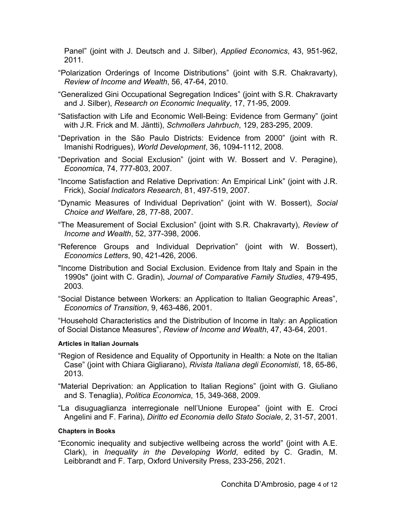Panel" (joint with J. Deutsch and J. Silber), *Applied Economics*, 43, 951-962, 2011.

- "Polarization Orderings of Income Distributions" (joint with S.R. Chakravarty), *Review of Income and Wealth*, 56, 47-64, 2010.
- "Generalized Gini Occupational Segregation Indices" (joint with S.R. Chakravarty and J. Silber), *Research on Economic Inequality*, 17, 71-95, 2009.
- "Satisfaction with Life and Economic Well-Being: Evidence from Germany" (joint with J.R. Frick and M. Jäntti), *Schmollers Jahrbuch*, 129, 283-295, 2009.
- "Deprivation in the São Paulo Districts: Evidence from 2000" (joint with R. Imanishi Rodrigues), *World Development*, 36, 1094-1112, 2008.
- "Deprivation and Social Exclusion" (joint with W. Bossert and V. Peragine), *Economica*, 74, 777-803, 2007.
- "Income Satisfaction and Relative Deprivation: An Empirical Link" (joint with J.R. Frick), *Social Indicators Research*, 81, 497-519, 2007.
- "Dynamic Measures of Individual Deprivation" (joint with W. Bossert), *Social Choice and Welfare*, 28, 77-88, 2007.
- "The Measurement of Social Exclusion" (joint with S.R. Chakravarty), *Review of Income and Wealth*, 52, 377-398, 2006.
- "Reference Groups and Individual Deprivation" (joint with W. Bossert), *Economics Letters*, 90, 421-426, 2006.
- "Income Distribution and Social Exclusion. Evidence from Italy and Spain in the 1990s" (joint with C. Gradin), *Journal of Comparative Family Studies*, 479-495, 2003*.*
- "Social Distance between Workers: an Application to Italian Geographic Areas", *Economics of Transition*, 9, 463-486, 2001.

"Household Characteristics and the Distribution of Income in Italy: an Application of Social Distance Measures", *Review of Income and Wealth*, 47, 43-64, 2001.

#### **Articles in Italian Journals**

- "Region of Residence and Equality of Opportunity in Health: a Note on the Italian Case" (joint with Chiara Gigliarano), *Rivista Italiana degli Economisti*, 18, 65-86, 2013.
- "Material Deprivation: an Application to Italian Regions" (joint with G. Giuliano and S. Tenaglia), *Politica Economica*, 15, 349-368, 2009.
- "La disuguaglianza interregionale nell'Unione Europea" (joint with E. Croci Angelini and F. Farina), *Diritto ed Economia dello Stato Sociale*, 2, 31-57, 2001.

## **Chapters in Books**

"Economic inequality and subjective wellbeing across the world" (joint with A.E. Clark), in *Inequality in the Developing World*, edited by C. Gradin, M. Leibbrandt and F. Tarp, Oxford University Press, 233-256, 2021.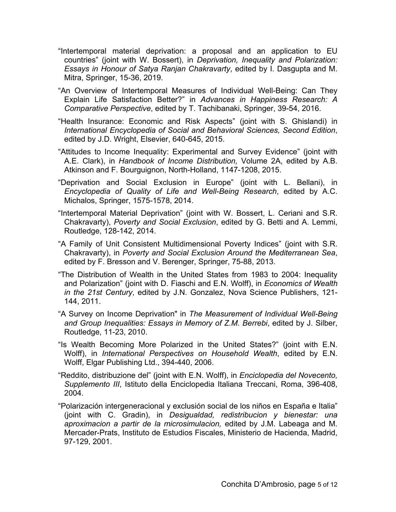- "Intertemporal material deprivation: a proposal and an application to EU countries" (joint with W. Bossert), in *Deprivation, Inequality and Polarization: Essays in Honour of Satya Ranjan Chakravarty*, edited by I. Dasgupta and M. Mitra, Springer, 15-36, 2019.
- "An Overview of Intertemporal Measures of Individual Well-Being: Can They Explain Life Satisfaction Better?" in *Advances in Happiness Research: A Comparative Perspective*, edited by T. Tachibanaki, Springer, 39-54, 2016.
- "Health Insurance: Economic and Risk Aspects" (joint with S. Ghislandi) in *International Encyclopedia of Social and Behavioral Sciences, Second Edition*, edited by J.D. Wright, Elsevier, 640-645, 2015.
- "Attitudes to Income Inequality: Experimental and Survey Evidence" (joint with A.E. Clark), in *Handbook of Income Distribution,* Volume 2A, edited by A.B. Atkinson and F. Bourguignon, North-Holland, 1147-1208, 2015.
- "Deprivation and Social Exclusion in Europe" (joint with L. Bellani), in *Encyclopedia of Quality of Life and Well-Being Research*, edited by A.C. Michalos, Springer, 1575-1578, 2014.
- "Intertemporal Material Deprivation" (joint with W. Bossert, L. Ceriani and S.R. Chakravarty), *Poverty and Social Exclusion*, edited by G. Betti and A. Lemmi, Routledge, 128-142, 2014.
- "A Family of Unit Consistent Multidimensional Poverty Indices" (joint with S.R. Chakravarty), in *Poverty and Social Exclusion Around the Mediterranean Sea*, edited by F. Bresson and V. Berenger, Springer, 75-88, 2013.
- "The Distribution of Wealth in the United States from 1983 to 2004: Inequality and Polarization" (joint with D. Fiaschi and E.N. Wolff), in *Economics of Wealth in the 21st Century*, edited by J.N. Gonzalez, Nova Science Publishers, 121- 144, 2011.
- "A Survey on Income Deprivation" in *The Measurement of Individual Well-Being and Group Inequalities: Essays in Memory of Z.M. Berrebi*, edited by J. Silber, Routledge, 11-23, 2010.
- "Is Wealth Becoming More Polarized in the United States?" (joint with E.N. Wolff), in *International Perspectives on Household Wealth*, edited by E.N. Wolff, Elgar Publishing Ltd., 394-440, 2006.
- "Reddito, distribuzione del" (joint with E.N. Wolff), in *Enciclopedia del Novecento, Supplemento III*, Istituto della Enciclopedia Italiana Treccani, Roma, 396-408, 2004.
- "Polarización intergeneracional y exclusión social de los niños en España e Italia" (joint with C. Gradin), in *Desigualdad, redistribucion y bienestar: una aproximacion a partir de la microsimulacion,* edited by J.M. Labeaga and M. Mercader-Prats, Instituto de Estudios Fiscales, Ministerio de Hacienda, Madrid, 97-129, 2001.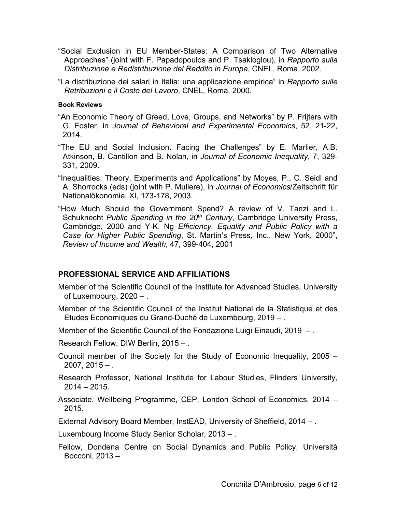"Social Exclusion in EU Member-States: A Comparison of Two Alternative Approaches" (joint with F. Papadopoulos and P. Tsakloglou), in *Rapporto sulla Distribuzione e Redistribuzione del Reddito in Europa*, CNEL, Roma, 2002.

"La distribuzione dei salari in Italia: una applicazione empirica" in *Rapporto sulle Retribuzioni e il Costo del Lavoro*, CNEL, Roma, 2000.

#### **Book Reviews**

- "An Economic Theory of Greed, Love, Groups, and Networks" by P. Frijters with G. Foster, in *Journal of Behavioral and Experimental Economics*, 52, 21-22, 2014.
- "The EU and Social Inclusion. Facing the Challenges" by E. Marlier, A.B. Atkinson, B. Cantillon and B. Nolan, in *Journal of Economic Inequality*, 7, 329- 331, 2009.
- "Inequalities: Theory, Experiments and Applications" by Moyes, P., C. Seidl and A. Shorrocks (eds) (joint with P. Muliere), in *Journal of Economics*/Zeitschrift für Nationalökonomie, XI, 173-178, 2003.
- "How Much Should the Government Spend? A review of V. Tanzi and L. Schuknecht *Public Spending in the 20<sup>th</sup> Century*, Cambridge University Press, Cambridge, 2000 and Y-K. Ng *Efficiency, Equality and Public Policy with a Case for Higher Public Spending*, St. Martin's Press, Inc., New York, 2000", *Review of Income and Wealth*, 47, 399-404, 2001

# **PROFESSIONAL SERVICE AND AFFILIATIONS**

- Member of the Scientific Council of the Institute for Advanced Studies, University of Luxembourg, 2020 – .
- Member of the Scientific Council of the Institut National de la Statistique et des Etudes Economiques du Grand-Duché de Luxembourg, 2019 – .
- Member of the Scientific Council of the Fondazione Luigi Einaudi, 2019 -.

Research Fellow, DIW Berlin, 2015 – .

- Council member of the Society for the Study of Economic Inequality, 2005  $2007, 2015 - .$
- Research Professor, National Institute for Labour Studies, Flinders University,  $2014 - 2015$ .
- Associate, Wellbeing Programme, CEP, London School of Economics, 2014 2015.

External Advisory Board Member, InstEAD, University of Sheffield, 2014 – .

Luxembourg Income Study Senior Scholar, 2013 – .

Fellow, Dondena Centre on Social Dynamics and Public Policy, Università Bocconi, 2013 –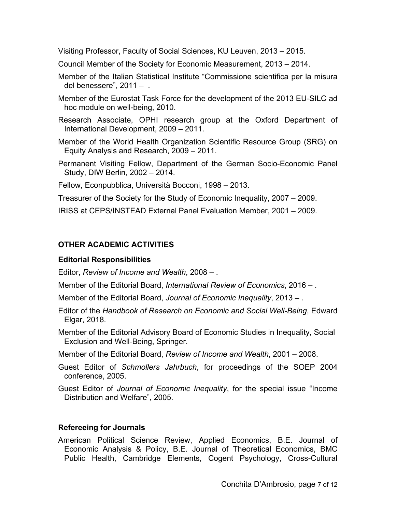Visiting Professor, Faculty of Social Sciences, KU Leuven, 2013 – 2015.

Council Member of the Society for Economic Measurement, 2013 – 2014.

- Member of the Italian Statistical Institute "Commissione scientifica per la misura del benessere",  $2011 - 1$
- Member of the Eurostat Task Force for the development of the 2013 EU-SILC ad hoc module on well-being, 2010.
- Research Associate, OPHI research group at the Oxford Department of International Development, 2009 – 2011.
- Member of the World Health Organization Scientific Resource Group (SRG) on Equity Analysis and Research, 2009 – 2011.
- Permanent Visiting Fellow, Department of the German Socio-Economic Panel Study, DIW Berlin, 2002 – 2014.

Fellow, Econpubblica, Università Bocconi, 1998 – 2013.

Treasurer of the Society for the Study of Economic Inequality, 2007 – 2009.

IRISS at CEPS/INSTEAD External Panel Evaluation Member, 2001 – 2009.

# **OTHER ACADEMIC ACTIVITIES**

# **Editorial Responsibilities**

Editor, *Review of Income and Wealth*, 2008 – .

Member of the Editorial Board, *International Review of Economics*, 2016 – .

Member of the Editorial Board, *Journal of Economic Inequality*, 2013 – .

- Editor of the *Handbook of Research on Economic and Social Well-Being*, Edward Elgar, 2018.
- Member of the Editorial Advisory Board of Economic Studies in Inequality, Social Exclusion and Well-Being, Springer.

Member of the Editorial Board, *Review of Income and Wealth*, 2001 – 2008.

- Guest Editor of *Schmollers Jahrbuch*, for proceedings of the SOEP 2004 conference, 2005.
- Guest Editor of *Journal of Economic Inequality*, for the special issue "Income Distribution and Welfare", 2005.

# **Refereeing for Journals**

American Political Science Review, Applied Economics, B.E. Journal of Economic Analysis & Policy, B.E. Journal of Theoretical Economics, BMC Public Health, Cambridge Elements, Cogent Psychology, Cross-Cultural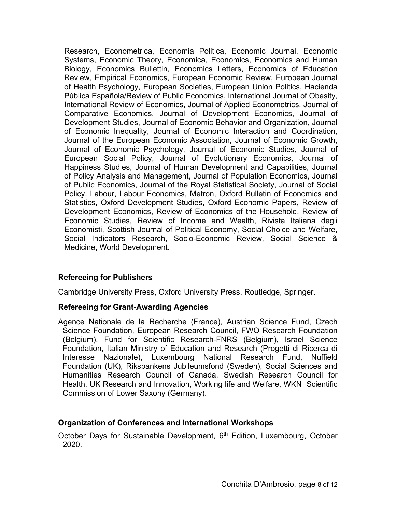Research, Econometrica, Economia Politica, Economic Journal, Economic Systems, Economic Theory, Economica, Economics, Economics and Human Biology, Economics Bullettin, Economics Letters, Economics of Education Review, Empirical Economics, European Economic Review, European Journal of Health Psychology, European Societies, European Union Politics, Hacienda Pública Española/Review of Public Economics, International Journal of Obesity, International Review of Economics, Journal of Applied Econometrics, Journal of Comparative Economics, Journal of Development Economics, Journal of Development Studies, Journal of Economic Behavior and Organization, Journal of Economic Inequality, Journal of Economic Interaction and Coordination, Journal of the European Economic Association, Journal of Economic Growth, Journal of Economic Psychology, Journal of Economic Studies, Journal of European Social Policy, Journal of Evolutionary Economics, Journal of Happiness Studies, Journal of Human Development and Capabilities, Journal of Policy Analysis and Management, Journal of Population Economics, Journal of Public Economics, Journal of the Royal Statistical Society, Journal of Social Policy, Labour, Labour Economics, Metron, Oxford Bulletin of Economics and Statistics, Oxford Development Studies, Oxford Economic Papers, Review of Development Economics, Review of Economics of the Household, Review of Economic Studies, Review of Income and Wealth, Rivista Italiana degli Economisti, Scottish Journal of Political Economy, Social Choice and Welfare, Social Indicators Research, Socio-Economic Review, Social Science & Medicine, World Development.

## **Refereeing for Publishers**

Cambridge University Press, Oxford University Press, Routledge, Springer.

## **Refereeing for Grant-Awarding Agencies**

Agence Nationale de la Recherche (France), Austrian Science Fund, Czech Science Foundation, European Research Council, FWO Research Foundation (Belgium), Fund for Scientific Research-FNRS (Belgium), Israel Science Foundation, Italian Ministry of Education and Research (Progetti di Ricerca di Interesse Nazionale), Luxembourg National Research Fund, Nuffield Foundation (UK), Riksbankens Jubileumsfond (Sweden), Social Sciences and Humanities Research Council of Canada, Swedish Research Council for Health, UK Research and Innovation, Working life and Welfare, WKN Scientific Commission of Lower Saxony (Germany).

## **Organization of Conferences and International Workshops**

October Days for Sustainable Development, 6<sup>th</sup> Edition, Luxembourg, October 2020.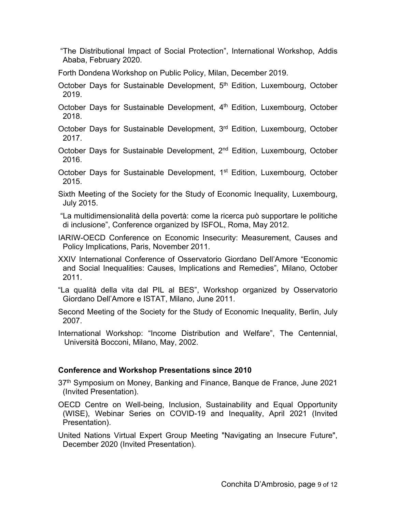"The Distributional Impact of Social Protection", International Workshop, Addis Ababa, February 2020.

Forth Dondena Workshop on Public Policy, Milan, December 2019.

October Days for Sustainable Development, 5<sup>th</sup> Edition, Luxembourg, October 2019.

October Days for Sustainable Development,  $4<sup>th</sup>$  Edition, Luxembourg, October 2018.

October Days for Sustainable Development, 3<sup>rd</sup> Edition, Luxembourg, October 2017.

October Days for Sustainable Development, 2<sup>nd</sup> Edition, Luxembourg, October 2016.

October Days for Sustainable Development, 1<sup>st</sup> Edition, Luxembourg, October 2015.

Sixth Meeting of the Society for the Study of Economic Inequality, Luxembourg, July 2015.

 "La multidimensionalità della povertà: come la ricerca può supportare le politiche di inclusione", Conference organized by ISFOL, Roma, May 2012.

IARIW-OECD Conference on Economic Insecurity: Measurement, Causes and Policy Implications, Paris, November 2011.

XXIV International Conference of Osservatorio Giordano Dell'Amore "Economic and Social Inequalities: Causes, Implications and Remedies", Milano, October 2011.

"La qualità della vita dal PIL al BES", Workshop organized by Osservatorio Giordano Dell'Amore e ISTAT, Milano, June 2011.

Second Meeting of the Society for the Study of Economic Inequality, Berlin, July 2007.

International Workshop: "Income Distribution and Welfare", The Centennial, Università Bocconi, Milano, May, 2002.

# **Conference and Workshop Presentations since 2010**

37<sup>th</sup> Symposium on Money, Banking and Finance, Banque de France, June 2021 (Invited Presentation).

OECD Centre on Well-being, Inclusion, Sustainability and Equal Opportunity (WISE), Webinar Series on COVID-19 and Inequality, April 2021 (Invited Presentation).

United Nations Virtual Expert Group Meeting "Navigating an Insecure Future", December 2020 (Invited Presentation).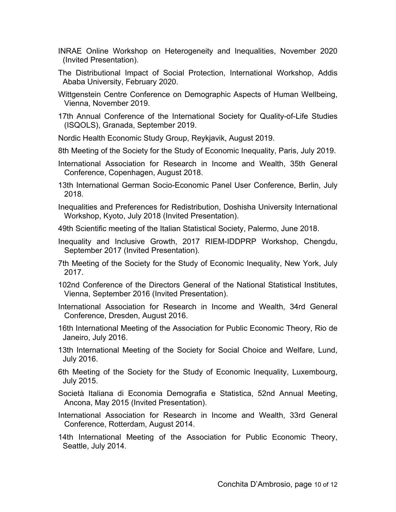- INRAE Online Workshop on Heterogeneity and Inequalities, November 2020 (Invited Presentation).
- The Distributional Impact of Social Protection, International Workshop, Addis Ababa University, February 2020.
- Wittgenstein Centre Conference on Demographic Aspects of Human Wellbeing, Vienna, November 2019.
- 17th Annual Conference of the International Society for Quality-of-Life Studies (ISQOLS), Granada, September 2019.

Nordic Health Economic Study Group, Reykjavik, August 2019.

- 8th Meeting of the Society for the Study of Economic Inequality, Paris, July 2019.
- International Association for Research in Income and Wealth, 35th General Conference, Copenhagen, August 2018.
- 13th International German Socio-Economic Panel User Conference, Berlin, July 2018.
- Inequalities and Preferences for Redistribution, Doshisha University International Workshop, Kyoto, July 2018 (Invited Presentation).
- 49th Scientific meeting of the Italian Statistical Society, Palermo, June 2018.
- Inequality and Inclusive Growth, 2017 RIEM-IDDPRP Workshop, Chengdu, September 2017 (Invited Presentation).
- 7th Meeting of the Society for the Study of Economic Inequality, New York, July 2017.
- 102nd Conference of the Directors General of the National Statistical Institutes, Vienna, September 2016 (Invited Presentation).
- International Association for Research in Income and Wealth, 34rd General Conference, Dresden, August 2016.
- 16th International Meeting of the Association for Public Economic Theory, Rio de Janeiro, July 2016.
- 13th International Meeting of the Society for Social Choice and Welfare, Lund, July 2016.
- 6th Meeting of the Society for the Study of Economic Inequality, Luxembourg, July 2015.
- Società Italiana di Economia Demografia e Statistica, 52nd Annual Meeting, Ancona, May 2015 (Invited Presentation).
- International Association for Research in Income and Wealth, 33rd General Conference, Rotterdam, August 2014.
- 14th International Meeting of the Association for Public Economic Theory, Seattle, July 2014.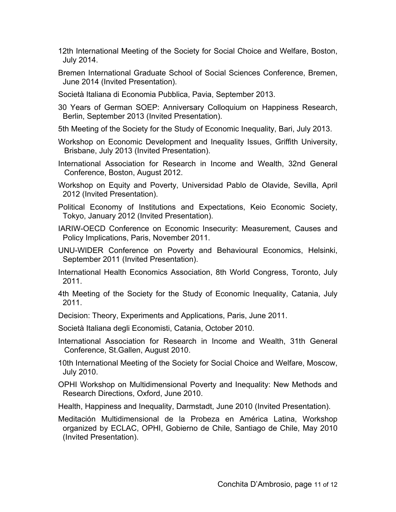- 12th International Meeting of the Society for Social Choice and Welfare, Boston, July 2014.
- Bremen International Graduate School of Social Sciences Conference, Bremen, June 2014 (Invited Presentation).
- Società Italiana di Economia Pubblica, Pavia, September 2013.

30 Years of German SOEP: Anniversary Colloquium on Happiness Research, Berlin, September 2013 (Invited Presentation).

- 5th Meeting of the Society for the Study of Economic Inequality, Bari, July 2013.
- Workshop on Economic Development and Inequality Issues, Griffith University, Brisbane, July 2013 (Invited Presentation).
- International Association for Research in Income and Wealth, 32nd General Conference, Boston, August 2012.
- Workshop on Equity and Poverty, Universidad Pablo de Olavide, Sevilla, April 2012 (Invited Presentation).
- Political Economy of Institutions and Expectations, Keio Economic Society, Tokyo, January 2012 (Invited Presentation).
- IARIW-OECD Conference on Economic Insecurity: Measurement, Causes and Policy Implications, Paris, November 2011.
- UNU-WIDER Conference on Poverty and Behavioural Economics, Helsinki, September 2011 (Invited Presentation).
- International Health Economics Association, 8th World Congress, Toronto, July 2011.
- 4th Meeting of the Society for the Study of Economic Inequality, Catania, July 2011.
- Decision: Theory, Experiments and Applications, Paris, June 2011.
- Società Italiana degli Economisti, Catania, October 2010.
- International Association for Research in Income and Wealth, 31th General Conference, St.Gallen, August 2010.
- 10th International Meeting of the Society for Social Choice and Welfare, Moscow, July 2010.
- OPHI Workshop on Multidimensional Poverty and Inequality: New Methods and Research Directions, Oxford, June 2010.
- Health, Happiness and Inequality, Darmstadt, June 2010 (Invited Presentation).
- Meditación Multidimensional de la Probeza en América Latina, Workshop organized by ECLAC, OPHI, Gobierno de Chile, Santiago de Chile, May 2010 (Invited Presentation).